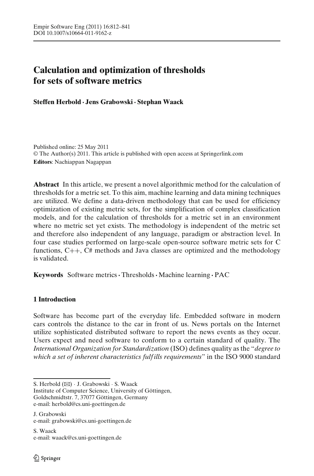# **Calculation and optimization of thresholds for sets of software metrics**

**Steffen Herbold · Jens Grabowski· Stephan Waack**

Published online: 25 May 2011 © The Author(s) 2011. This article is published with open access at Springerlink.com **Editors**: Nachiappan Nagappan

**Abstract** In this article, we present a novel algorithmic method for the calculation of thresholds for a metric set. To this aim, machine learning and data mining techniques are utilized. We define a data-driven methodology that can be used for efficiency optimization of existing metric sets, for the simplification of complex classification models, and for the calculation of thresholds for a metric set in an environment where no metric set yet exists. The methodology is independent of the metric set and therefore also independent of any language, paradigm or abstraction level. In four case studies performed on large-scale open-source software metric sets for C functions, C++, C# methods and Java classes are optimized and the methodology is validated.

**Keywords** Software metrics**·**Thresholds**·** Machine learning **·** PAC

# **1 Introduction**

Software has become part of the everyday life. Embedded software in modern cars controls the distance to the car in front of us. News portals on the Internet utilize sophisticated distributed software to report the news events as they occur. Users expect and need software to conform to a certain standard of quality. The *International Organization for Standardization* (ISO) defines quality as the "*degree to which a set of inherent characteristics fulf ills requirements*" in the ISO 9000 standard

Institute of Computer Science, University of Göttingen, Goldschmidtstr. 7, 37077 Göttingen, Germany e-mail: herbold@cs.uni-goettingen.de

S. Herbold (B) · J. Grabowski · S. Waack

J. Grabowski e-mail: grabowski@cs.uni-goettingen.de

S. Waack e-mail: waack@cs.uni-goettingen.de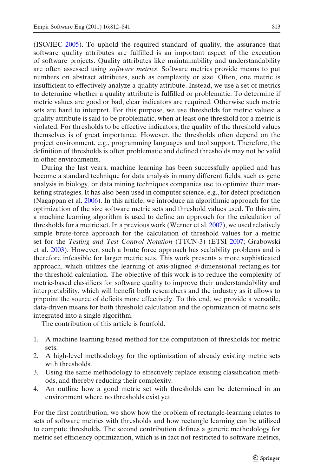(ISO/IE[C](#page-27-0) [2005\)](#page-27-0). To uphold the required standard of quality, the assurance that software quality attributes are fulfilled is an important aspect of the execution of software projects. Quality attributes like maintainability and understandability are often assessed using *software metrics*. Software metrics provide means to put numbers on abstract attributes, such as complexity or size. Often, one metric is insufficient to effectively analyze a quality attribute. Instead, we use a set of metrics to determine whether a quality attribute is fulfilled or problematic. To determine if metric values are good or bad, clear indicators are required. Otherwise such metric sets are hard to interpret. For this purpose, we use thresholds for metric values: a quality attribute is said to be problematic, when at least one threshold for a metric is violated. For thresholds to be effective indicators, the quality of the threshold values themselves is of great importance. However, the thresholds often depend on the project environment, e.g., programming languages and tool support. Therefore, the definition of thresholds is often problematic and defined thresholds may not be valid in other environments.

During the last years, machine learning has been successfully applied and has become a standard technique for data analysis in many different fields, such as gene analysis in biology, or data mining techniques companies use to optimize their marketing strategies. It has also been used in computer science, e.g., for defect prediction (Nagappan et al[.](#page-27-0) [2006](#page-27-0)). In this article, we introduce an algorithmic approach for the optimization of the size software metric sets and threshold values used. To this aim, a machine learning algorithm is used to define an approach for the calculation of thresholds for a metric set[.](#page-27-0) In a previous work (Werner et al.  $2007$ ), we used relatively simple brute-force approach for the calculation of threshold values for a metric set for the *Testing and Test Control Notation* (TTCN-3) (ETS[I](#page-26-0) [2007;](#page-26-0) Grabowski et al[.](#page-27-0) [2003](#page-27-0)). However, such a brute force approach has scalability problems and is therefore infeasible for larger metric sets. This work presents a more sophisticated approach, which utilizes the learning of axis-aligned *d*-dimensional rectangles for the threshold calculation. The objective of this work is to reduce the complexity of metric-based classifiers for software quality to improve their understandability and interpretability, which will benefit both researchers and the industry as it allows to pinpoint the source of deficits more effectively. To this end, we provide a versatile, data-driven means for both threshold calculation and the optimization of metric sets integrated into a single algorithm.

The contribution of this article is fourfold.

- 1. A machine learning based method for the computation of thresholds for metric sets.
- 2. A high-level methodology for the optimization of already existing metric sets with thresholds.
- 3. Using the same methodology to effectively replace existing classification methods, and thereby reducing their complexity.
- 4. An outline how a good metric set with thresholds can be determined in an environment where no thresholds exist yet.

For the first contribution, we show how the problem of rectangle-learning relates to sets of software metrics with thresholds and how rectangle learning can be utilized to compute thresholds. The second contribution defines a generic methodology for metric set efficiency optimization, which is in fact not restricted to software metrics,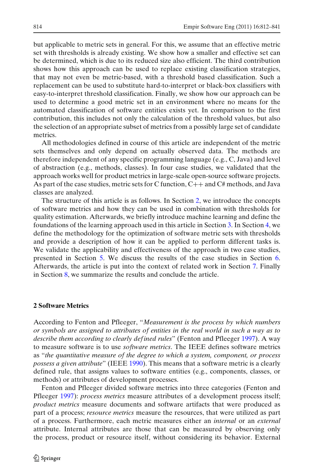but applicable to metric sets in general. For this, we assume that an effective metric set with thresholds is already existing. We show how a smaller and effective set can be determined, which is due to its reduced size also efficient. The third contribution shows how this approach can be used to replace existing classification strategies, that may not even be metric-based, with a threshold based classification. Such a replacement can be used to substitute hard-to-interpret or black-box classifiers with easy-to-interpret threshold classification. Finally, we show how our approach can be used to determine a good metric set in an environment where no means for the automated classification of software entities exists yet. In comparison to the first contribution, this includes not only the calculation of the threshold values, but also the selection of an appropriate subset of metrics from a possibly large set of candidate metrics.

All methodologies defined in course of this article are independent of the metric sets themselves and only depend on actually observed data. The methods are therefore independent of any specific programming language (e.g., C, Java) and level of abstraction (e.g., methods, classes). In four case studies, we validated that the approach works well for product metrics in large-scale open-source software projects. As part of the case studies, metric sets for C function,  $C++$  and  $C#$  methods, and Java classes are analyzed.

The structure of this article is as follows. In Section 2, we introduce the concepts of software metrics and how they can be used in combination with thresholds for quality estimation. Afterwards, we briefly introduce machine learning and define the foundations of the learning approach used in this article in Section [3.](#page-6-0) In Section [4,](#page-10-0) we define the methodology for the optimization of software metric sets with thresholds and provide a description of how it can be applied to perform different tasks is. We validate the applicability and effectiveness of the approach in two case studies, presented in Section [5.](#page-14-0) We discuss the results of the case studies in Section [6.](#page-20-0) Afterwards, the article is put into the context of related work in Section [7.](#page-24-0) Finally in Section [8,](#page-25-0) we summarize the results and conclude the article.

## **2 Software Metrics**

According to Fenton and Pfleeger, "*Measurement is the process by which numbers or symbols are assigned to attributes of entities in the real world in such a way as to describe them according to clearly def ined rules*" (Fenton and Pfleege[r](#page-27-0) [1997](#page-27-0)). A way to measure software is to use *software metrics*. The IEEE defines software metrics as "*the quantitative measure of the degree to which a system, component, or process possess a given attribute*" (IEE[E](#page-27-0) [1990\)](#page-27-0). This means that a software metric is a clearly defined rule, that assigns values to software entities (e.g., components, classes, or methods) or attributes of development processes.

Fenton and Pfleeger divided software metrics into three categories (Fenton and Pfleege[r](#page-27-0) [1997](#page-27-0)): *process metrics* measure attributes of a development process itself; *product metrics* measure documents and software artifacts that were produced as part of a process; *resource metrics* measure the resources, that were utilized as part of a process. Furthermore, each metric measures either an *internal* or an *external* attribute. Internal attributes are those that can be measured by observing only the process, product or resource itself, without considering its behavior. External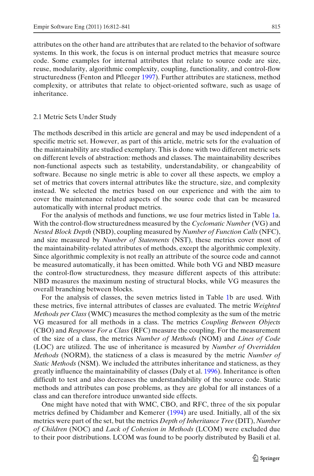attributes on the other hand are attributes that are related to the behavior of software systems. In this work, the focus is on internal product metrics that measure source code. Some examples for internal attributes that relate to source code are size, reuse, modularity, algorithmic complexity, coupling, functionality, and control-flow structuredness (Fenton and Pfleege[r](#page-27-0) [1997](#page-27-0)). Further attributes are staticness, method complexity, or attributes that relate to object-oriented software, such as usage of inheritance.

#### 2.1 Metric Sets Under Study

The methods described in this article are general and may be used independent of a specific metric set. However, as part of this article, metric sets for the evaluation of the maintainability are studied exemplary. This is done with two different metric sets on different levels of abstraction: methods and classes. The maintainability describes non-functional aspects such as testability, understandability, or changeability of software. Because no single metric is able to cover all these aspects, we employ a set of metrics that covers internal attributes like the structure, size, and complexity instead. We selected the metrics based on our experience and with the aim to cover the maintenance related aspects of the source code that can be measured automatically with internal product metrics.

For the analysis of methods and functions, we use four metrics listed in Table [1a](#page-4-0). With the control-flow structuredness measured by the *Cyclomatic Number* (VG) and *Nested Block Depth* (NBD), coupling measured by *Number of Function Calls* (NFC), and size measured by *Number of Statements* (NST), these metrics cover most of the maintainability-related attributes of methods, except the algorithmic complexity. Since algorithmic complexity is not really an attribute of the source code and cannot be measured automatically, it has been omitted. While both VG and NBD measure the control-flow structuredness, they measure different aspects of this attribute: NBD measures the maximum nesting of structural blocks, while VG measures the overall branching between blocks.

For the analysis of classes, the seven metrics listed in Table [1b](#page-4-0) are used. With these metrics, five internal attributes of classes are evaluated. The metric *Weighted Methods per Class* (WMC) measures the method complexity as the sum of the metric VG measured for all methods in a class. The metrics *Coupling Between Objects* (CBO) and *Response For a Class* (RFC) measure the coupling. For the measurement of the size of a class, the metrics *Number of Methods* (NOM) and *Lines of Code* (LOC) are utilized. The use of inheritance is measured by *Number of Overridden Methods* (NORM), the staticness of a class is measured by the metric *Number of Static Methods* (NSM). We included the attributes inheritance and staticness, as they greatly influence the maintainability of classes (Daly et al[.](#page-26-0) [1996\)](#page-26-0). Inheritance is often difficult to test and also decreases the understandability of the source code. Static methods and attributes can pose problems, as they are global for all instances of a class and can therefore introduce unwanted side effects.

One might have noted that with WMC, CBO, and RFC, three of the six popular metrics defined by Chidamber and Kemere[r](#page-26-0) [\(1994\)](#page-26-0) are used. Initially, all of the six metrics were part of the set, but the metrics *Depth of Inheritance Tree* (DIT), *Number of Children* (NOC) and *Lack of Cohesion in Methods* (LCOM) were excluded due to their poor distributions. LCOM was found to be poorly distributed by Basili et al[.](#page-26-0)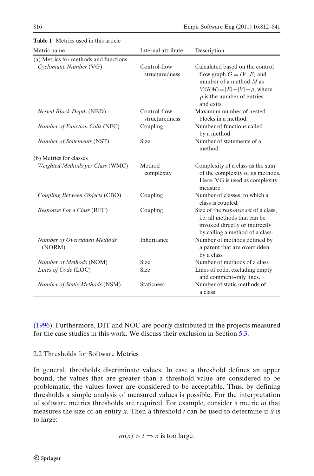| <b>Table 1</b> Metrics used in this article |                                |                                                                                                                                                                              |
|---------------------------------------------|--------------------------------|------------------------------------------------------------------------------------------------------------------------------------------------------------------------------|
| Metric name                                 | Internal attribute             | Description                                                                                                                                                                  |
| (a) Metrics for methods and functions       |                                |                                                                                                                                                                              |
| Cyclomatic Number (VG)                      | Control-flow<br>structuredness | Calculated based on the control<br>flow graph $G = (V, E)$ and<br>number of a method $M$ as<br>$VG(M) =  E  -  V  + p$ , where<br>$p$ is the number of entries<br>and exits. |
| Nested Block Depth (NBD)                    | Control-flow<br>structuredness | Maximum number of nested<br>blocks in a method.                                                                                                                              |
| <b>Number of Function Calls (NFC)</b>       | Coupling                       | Number of functions called<br>by a method                                                                                                                                    |
| Number of Statements (NST)                  | <b>Size</b>                    | Number of statements of a<br>method                                                                                                                                          |
| (b) Metrics for classes                     |                                |                                                                                                                                                                              |
| Weighted Methods per Class (WMC)            | Method<br>complexity           | Complexity of a class as the sum<br>of the complexity of its methods.<br>Here, VG is used as complexity<br>measure.                                                          |
| Coupling Between Objects (CBO)              | Coupling                       | Number of classes, to which a<br>class is coupled.                                                                                                                           |
| Response For a Class (RFC)                  | Coupling                       | Size of the <i>response set</i> of a class,<br>i.e. all methods that can be<br>invoked directly or indirectly<br>by calling a method of a class.                             |
| Number of Overridden Methods<br>(NORM)      | Inheritance                    | Number of methods defined by<br>a parent that are overridden<br>by a class                                                                                                   |
| Number of Methods (NOM)                     | Size                           | Number of methods of a class                                                                                                                                                 |
| Lines of Code (LOC)                         | Size                           | Lines of code, excluding empty<br>and comment-only lines.                                                                                                                    |
| Number of Static Methods (NSM)              | <b>Staticness</b>              | Number of static methods of<br>a class                                                                                                                                       |

<span id="page-4-0"></span>**Table 1** Metrics used in this article article

[\(1996](#page-26-0)). Furthermore, DIT and NOC are poorly distributed in the projects measured for the case studies in this work. We discuss their exclusion in Section [5.3.](#page-18-0)

## 2.2 Thresholds for Software Metrics

In general, thresholds discriminate values. In case a threshold defines an upper bound, the values that are greater than a threshold value are considered to be problematic, the values lower are considered to be acceptable. Thus, by defining thresholds a simple analysis of measured values is possible. For the interpretation of software metrics thresholds are required. For example, consider a metric *m* that measures the size of an entity *x*. Then a threshold *t* can be used to determine if *x* is to large:

$$
m(x) > t \Rightarrow x
$$
 is too large.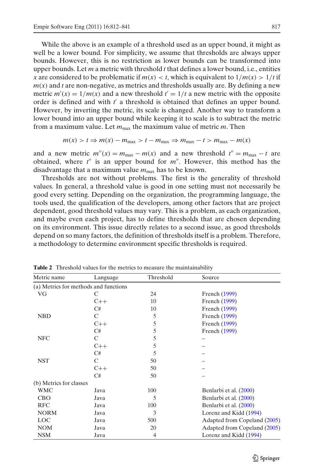<span id="page-5-0"></span>While the above is an example of a threshold used as an upper bound, it might as well be a lower bound. For simplicity, we assume that thresholds are always upper bounds. However, this is no restriction as lower bounds can be transformed into upper bounds. Let *m* a metric with threshold *t* that defines a lower bound, i.e., entities *x* are considered to be problematic if  $m(x) < t$ , which is equivalent to  $1/m(x) > 1/t$  if  $m(x)$  and *t* are non-negative, as metrics and thresholds usually are. By defining a new metric  $m'(x) = 1/m(x)$  and a new threshold  $t' = 1/t$  a new metric with the opposite order is defined and with  $t'$  a threshold is obtained that defines an upper bound. However, by inverting the metric, its scale is changed. Another way to transform a lower bound into an upper bound while keeping it to scale is to subtract the metric from a maximum value. Let  $m_{\text{max}}$  the maximum value of metric  $m$ . Then

$$
m(x) > t \Rightarrow m(x) - m_{\text{max}} > t - m_{\text{max}} \Rightarrow m_{\text{max}} - t > m_{\text{max}} - m(x)
$$

and a new metric  $m''(x) = m_{\text{max}} - m(x)$  and a new threshold  $t'' = m_{\text{max}} - t$  are obtained, where *t* is an upper bound for *m*. However, this method has the disadvantage that a maximum value  $m_{\text{max}}$  has to be known.

Thresholds are not without problems. The first is the generality of threshold values. In general, a threshold value is good in one setting must not necessarily be good every setting. Depending on the organization, the programming language, the tools used, the qualification of the developers, among other factors that are project dependent, good threshold values may vary. This is a problem, as each organization, and maybe even each project, has to define thresholds that are chosen depending on its environment. This issue directly relates to a second issue, as good thresholds depend on so many factors, the definition of thresholds itself is a problem. Therefore, a methodology to determine environment specific thresholds is required.

| Metric name             | Language                              | Threshold | Source                       |
|-------------------------|---------------------------------------|-----------|------------------------------|
|                         | (a) Metrics for methods and functions |           |                              |
| VG                      | С                                     | 24        | French (1999)                |
|                         | $C++$                                 | 10        | French (1999)                |
|                         | C#                                    | 10        | French (1999)                |
| <b>NBD</b>              | C                                     | 5         | French (1999)                |
|                         | $C++$                                 | 5         | French (1999)                |
|                         | C#                                    | 5         | French (1999)                |
| <b>NFC</b>              | C                                     | 5         |                              |
|                         | $C++$                                 | 5         |                              |
|                         | C#                                    | 5         |                              |
| <b>NST</b>              | C                                     | 50        |                              |
|                         | $C++$                                 | 50        |                              |
|                         | C#                                    | 50        |                              |
| (b) Metrics for classes |                                       |           |                              |
| WMC                     | Java                                  | 100       | Benlarbi et al. (2000)       |
| <b>CBO</b>              | Java                                  | 5         | Benlarbi et al. (2000)       |
| <b>RFC</b>              | Java                                  | 100       | Benlarbi et al. (2000)       |
| <b>NORM</b>             | Java                                  | 3         | Lorenz and Kidd (1994)       |
| <b>LOC</b>              | Java                                  | 500       | Adapted from Copeland (2005) |
| <b>NOM</b>              | Java                                  | 20        | Adapted from Copeland (2005) |
| <b>NSM</b>              | Java                                  | 4         | Lorenz and Kidd (1994)       |

**Table 2** Threshold values for the metrics to measure the maintainability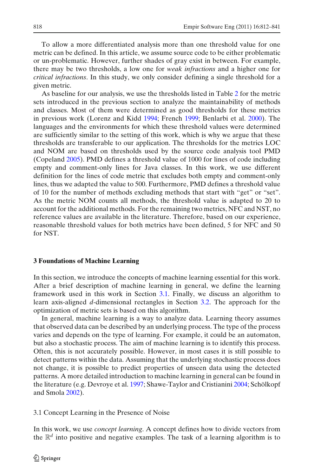<span id="page-6-0"></span>To allow a more differentiated analysis more than one threshold value for one metric can be defined. In this article, we assume source code to be either problematic or un-problematic. However, further shades of gray exist in between. For example, there may be two thresholds, a low one for *weak infractions* and a higher one for *critical infractions*. In this study, we only consider defining a single threshold for a given metric.

As baseline for our analysis, we use the thresholds listed in Table [2](#page-5-0) for the metric sets introduced in the previous section to analyze the maintainability of methods and classes. Most of them were determined as good thresholds for these metrics in previous work (Lorenz and Kid[d](#page-27-0) [1994](#page-27-0); Frenc[h](#page-27-0) [1999;](#page-27-0) Benlarbi et al[.](#page-26-0) [2000\)](#page-26-0). The languages and the environments for which these threshold values were determined are sufficiently similar to the setting of this work, which is why we argue that these thresholds are transferable to our application. The thresholds for the metrics LOC and NOM are based on thresholds used by the source code analysis tool PMD (Copelan[d](#page-26-0) [2005](#page-26-0)). PMD defines a threshold value of 1000 for lines of code including empty and comment-only lines for Java classes. In this work, we use different definition for the lines of code metric that excludes both empty and comment-only lines, thus we adapted the value to 500. Furthermore, PMD defines a threshold value of 10 for the number of methods excluding methods that start with "get" or "set". As the metric NOM counts all methods, the threshold value is adapted to 20 to account for the additional methods. For the remaining two metrics, NFC and NST, no reference values are available in the literature. Therefore, based on our experience, reasonable threshold values for both metrics have been defined, 5 for NFC and 50 for NST.

## **3 Foundations of Machine Learning**

In this section, we introduce the concepts of machine learning essential for this work. After a brief description of machine learning in general, we define the learning framework used in this work in Section 3.1. Finally, we discuss an algorithm to learn axis-aligned *d*-dimensional rectangles in Section [3.2.](#page-9-0) The approach for the optimization of metric sets is based on this algorithm.

In general, machine learning is a way to analyze data. Learning theory assumes that observed data can be described by an underlying process. The type of the process varies and depends on the type of learning. For example, it could be an automaton, but also a stochastic process. The aim of machine learning is to identify this process. Often, this is not accurately possible. However, in most cases it is still possible to detect patterns within the data. Assuming that the underlying stochastic process does not change, it is possible to predict properties of unseen data using the detected patterns. A more detailed introduction to machine learning in general can be found in the literature (e.g. Devroye et al[.](#page-26-0) [1997](#page-26-0); Shawe-Taylor and Cristianin[i](#page-27-0) [2004;](#page-27-0) Schölkopf and Smol[a](#page-27-0) [2002\)](#page-27-0).

3.1 Concept Learning in the Presence of Noise

In this work, we use *concept learning*. A concept defines how to divide vectors from the  $\mathbb{R}^d$  into positive and negative examples. The task of a learning algorithm is to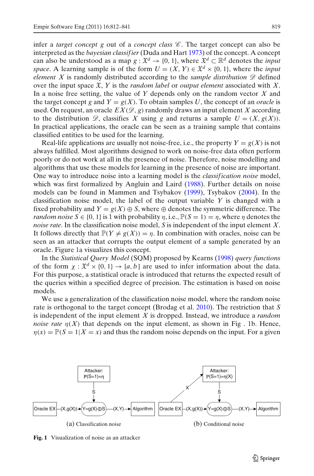infer a *target concept g* out of a *concept class*  $\mathscr C$ . The target concept can also be interpreted as the *bayesian classif ier* (Duda and Har[t](#page-26-0) [1973\)](#page-26-0) of the concept. A concept can also be understood as a map  $g: \mathfrak{X}^d \to \{0, 1\}$ , where  $\mathfrak{X}^d \subset \mathbb{R}^d$  denotes the *input space*. A learning sample is of the form  $U = (X, Y) \in \mathfrak{X}^d \times \{0, 1\}$ , where the *input element X* is randomly distributed according to the *sample distribution*  $\mathscr{D}$  defined over the input space X, *Y* is the *random label* or *output element* associated with *X*. In a noise free setting, the value of *Y* depends only on the random vector *X* and the target concept *g* and  $Y = g(X)$ . To obtain samples *U*, the concept of an *oracle* is used. On request, an oracle  $EX(\mathscr{D}, g)$  randomly draws an input element X according to the distribution  $\mathscr{D}$ , classifies *X* using *g* and returns a sample  $U = (X, g(X))$ . In practical applications, the oracle can be seen as a training sample that contains classified entities to be used for the learning.

Real-life applications are usually not noise-free, i.e., the property  $Y = g(X)$  is not always fulfilled. Most algorithms designed to work on noise-free data often perform poorly or do not work at all in the presence of noise. Therefore, noise modelling and algorithms that use these models for learning in the presence of noise are important. One way to introduce noise into a learning model is the *classif ication noise* model, which was first formalized by Angluin and Lair[d](#page-26-0) [\(1988](#page-26-0)). Further details on noise models can be found in Mammen and Tsybako[v](#page-27-0) [\(1999\)](#page-27-0), Tsybako[v](#page-27-0) [\(2004\)](#page-27-0). In the classification noise model, the label of the output variable *Y* is changed with a fixed probability and  $Y = g(X) \oplus S$ , where  $\oplus$  denotes the symmetric difference. The *random noise*  $S \in \{0, 1\}$  is 1 with probability  $\eta$ , i.e.,  $\mathbb{P}(S = 1) = \eta$ , where  $\eta$  denotes the *noise rate*. In the classification noise model, *S* is independent of the input element *X*. It follows directly that  $\mathbb{P}(Y \neq g(X)) = \eta$ . In combination with oracles, noise can be seen as an attacker that corrupts the output element of a sample generated by an oracle. Figure 1a visualizes this concept.

In the *Statistical Query Model* (SQM) proposed by Kearn[s](#page-27-0) [\(1998](#page-27-0)) *query functions* of the form  $\chi : \mathfrak{X}^d \times \{0, 1\} \to [a, b]$  are used to infer information about the data. For this purpose, a statistical oracle is introduced that returns the expected result of the queries within a specified degree of precision. The estimation is based on noise models.

We use a generalization of the classification noise model, where the random noise rate is orthogonal to the target concept (Brodag et al[.](#page-26-0) [2010\)](#page-26-0). The restriction that *S* is independent of the input element *X* is dropped. Instead, we introduce a *random noise rate*  $\eta(X)$  that depends on the input element, as shown in Fig. 1b. Hence,  $\eta(x) = \mathbb{P}(S = 1 | X = x)$  and thus the random noise depends on the input. For a given



**Fig. 1** Visualization of noise as an attacker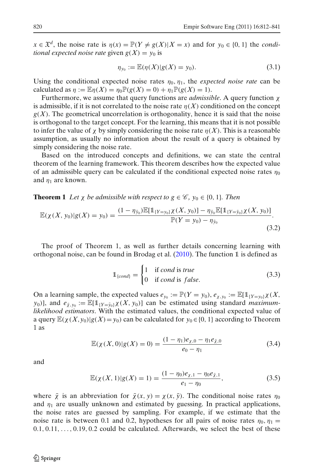<span id="page-8-0"></span> $x \in \mathfrak{X}^d$ , the noise rate is  $\eta(x) = \mathbb{P}(Y \neq g(X)|X = x)$  and for  $y_0 \in \{0, 1\}$  the *conditional expected noise rate* given  $g(X) = y_0$  is

$$
\eta_{y_0} := \mathbb{E}(\eta(X)|g(X) = y_0).
$$
\n(3.1)

Using the conditional expected noise rates  $\eta_0$ ,  $\eta_1$ , the *expected noise rate* can be calculated as  $\eta := \mathbb{E} \eta(X) = \eta_0 \mathbb{P}(g(X) = 0) + \eta_1 \mathbb{P}(g(X) = 1)$ .

Furthermore, we assume that query functions are *admissible*. A query function χ is admissible, if it is not correlated to the noise rate  $\eta(X)$  conditioned on the concept  $g(X)$ . The geometrical uncorrelation is orthogonality, hence it is said that the noise is orthogonal to the target concept. For the learning, this means that it is not possible to infer the value of  $\chi$  by simply considering the noise rate  $\eta(X)$ . This is a reasonable assumption, as usually no information about the result of a query is obtained by simply considering the noise rate.

Based on the introduced concepts and definitions, we can state the central theorem of the learning framework. This theorem describes how the expected value of an admissible query can be calculated if the conditional expected noise rates  $\eta_0$ and  $\eta_1$  are known.

**Theorem 1** *Let*  $\chi$  *be admissible with respect to*  $g \in \mathcal{C}$ *,*  $y_0 \in \{0, 1\}$ *. Then* 

$$
\mathbb{E}(\chi(X, y_0)|g(X) = y_0) = \frac{(1 - \eta_{\bar{y}_0})\mathbb{E}[\mathbb{1}_{\{Y = y_0\}}\chi(X, y_0)] - \eta_{\bar{y}_0}\mathbb{E}[\mathbb{1}_{\{Y = \bar{y}_0\}}\chi(X, y_0)]}{\mathbb{P}(Y = y_0) - \eta_{\bar{y}_0}}.
$$
\n(3.2)

The proof of Theorem 1, as well as further details concerning learning with orthogonal noise, can be found in Brodag et al[.](#page-26-0)  $(2010)$  $(2010)$ . The function 1 is defined as

$$
\mathbb{1}_{\{cond\}} = \begin{cases} 1 & \text{if cond is true} \\ 0 & \text{if cond is false.} \end{cases}
$$
 (3.3)

On a learning sample, the expected values  $e_{y_0} := \mathbb{P}(Y = y_0), e_{\chi, y_0} := \mathbb{E}[\mathbb{1}_{\{Y = y_0\}} \chi(X, \chi_Y)]$  $y_0$ ], and  $e_{\bar{y}, y_0} := \mathbb{E}[\mathbb{1}_{\{Y = \bar{y}_0\}} \chi(X, y_0)]$  can be estimated using standard *maximumlikelihood estimators*. With the estimated values, the conditional expected value of a query  $\mathbb{E}(\chi(X, y_0)|g(X) = y_0)$  can be calculated for  $y_0 \in \{0, 1\}$  according to Theorem 1 as

$$
\mathbb{E}(\chi(X,0)|g(X)=0) = \frac{(1-\eta_1)e_{\chi,0} - \eta_1 e_{\bar{\chi},0}}{e_0 - \eta_1}
$$
(3.4)

and

$$
\mathbb{E}(\chi(X,1)|g(X)=1) = \frac{(1-\eta_0)e_{\chi,1} - \eta_0 e_{\bar{\chi},1}}{e_1 - \eta_0},\tag{3.5}
$$

where  $\bar{\chi}$  is an abbreviation for  $\bar{\chi}(x, y) = \chi(x, \bar{y})$ . The conditional noise rates  $\eta_0$ and  $\eta_1$  are usually unknown and estimated by guessing. In practical applications, the noise rates are guessed by sampling. For example, if we estimate that the noise rate is between 0.1 and 0.2, hypotheses for all pairs of noise rates  $\eta_0$ ,  $\eta_1$  =  $0.1, 0.11, \ldots, 0.19, 0.2$  could be calculated. Afterwards, we select the best of these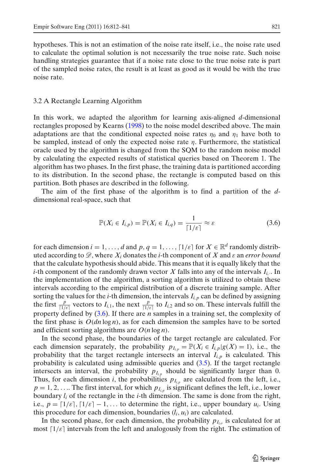<span id="page-9-0"></span>hypotheses. This is not an estimation of the noise rate itself, i.e., the noise rate used to calculate the optimal solution is not necessarily the true noise rate. Such noise handling strategies guarantee that if a noise rate close to the true noise rate is part of the sampled noise rates, the result is at least as good as it would be with the true noise rate.

#### 3.2 A Rectangle Learning Algorithm

In this work, we adapted the algorithm for learning axis-aligned *d*-dimensional rectangles proposed by Kearn[s](#page-27-0) [\(1998](#page-27-0)) to the noise model described above. The main adaptations are that the conditional expected noise rates  $\eta_0$  and  $\eta_1$  have both to be sampled, instead of only the expected noise rate  $\eta$ . Furthermore, the statistical oracle used by the algorithm is changed from the SQM to the random noise model by calculating the expected results of statistical queries based on Theorem 1. The algorithm has two phases. In the first phase, the training data is partitioned according to its distribution. In the second phase, the rectangle is computed based on this partition. Both phases are described in the following.

The aim of the first phase of the algorithm is to find a partition of the *d*dimensional real-space, such that

$$
\mathbb{P}(X_i \in I_{i,p}) = \mathbb{P}(X_i \in I_{i,q}) = \frac{1}{\lceil 1/\varepsilon \rceil} \approx \varepsilon \tag{3.6}
$$

for each dimension  $i = 1, ..., d$  and  $p, q = 1, ..., \lceil 1/\varepsilon \rceil$  for  $X \in \mathbb{R}^d$  randomly distributed according to  $\mathscr{D}$ , where  $X_i$  donates the *i*-th component of X and  $\varepsilon$  an *error bound* that the calculate hypothesis should abide. This means that it is equally likely that the *i*-th component of the randomly drawn vector *X* falls into any of the intervals  $I_i$ . In the implementation of the algorithm, a sorting algorithm is utilized to obtain these intervals according to the empirical distribution of a discrete training sample. After sorting the values for the *i*-th dimension, the intervals  $I_{i,p}$  can be defined by assigning the first  $\frac{p}{[1/\varepsilon]}$  vectors to  $I_{i,1}$ , the next  $\frac{p}{[1/\varepsilon]}$  to  $I_{i,2}$  and so on. These intervals fulfill the property defined by (3.6). If there are *n* samples in a training set, the complexity of the first phase is  $O(dn \log n)$ , as for each dimension the samples have to be sorted and efficient sorting algorithms are *O*(*n* log *n*).

In the second phase, the boundaries of the target rectangle are calculated. For each dimension separately, the probability  $p_{I_{i,p}} = \mathbb{P}(X_i \in I_{i,p} | g(X) = 1)$ , i.e., the probability that the target rectangle intersects an interval  $I_{i,p}$  is calculated. This probability is calculated using admissible queries and [\(3.5\)](#page-8-0). If the target rectangle intersects an interval, the probability  $p_{I_{ip}}$  should be significantly larger than 0. Thus, for each dimension *i*, the probabilities  $p_{I_{i,p}}$  are calculated from the left, i.e.,  $p = 1, 2, \ldots$  The first interval, for which  $p_{I_{i,p}}$  is significant defines the left, i.e., lower boundary *li* of the rectangle in the *i*-th dimension. The same is done from the right, i.e.,  $p = \lfloor 1/\varepsilon \rfloor, \lfloor 1/\varepsilon \rfloor - 1, \ldots$  to determine the right, i.e., upper boundary  $u_i$ . Using this procedure for each dimension, boundaries (*li*, *ui*) are calculated.

In the second phase, for each dimension, the probability  $p_{I_i}$  is calculated for at most  $\lceil 1/\varepsilon \rceil$  intervals from the left and analogously from the right. The estimation of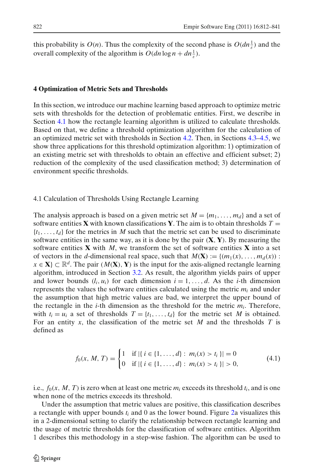<span id="page-10-0"></span>this probability is  $O(n)$ . Thus the complexity of the second phase is  $O(dn_{\frac{1}{\epsilon}})$  and the overall complexity of the algorithm is  $O(dn \log n + dn_{\frac{1}{\epsilon}}^1)$ .

## **4 Optimization of Metric Sets and Thresholds**

In this section, we introduce our machine learning based approach to optimize metric sets with thresholds for the detection of problematic entities. First, we describe in Section 4.1 how the rectangle learning algorithm is utilized to calculate thresholds. Based on that, we define a threshold optimization algorithm for the calculation of an optimized metric set with thresholds in Section [4.2.](#page-11-0) Then, in Sections [4.3](#page-12-0)[–4.5,](#page-14-0) we show three applications for this threshold optimization algorithm: 1) optimization of an existing metric set with thresholds to obtain an effective and efficient subset; 2) reduction of the complexity of the used classification method; 3) determination of environment specific thresholds.

4.1 Calculation of Thresholds Using Rectangle Learning

The analysis approach is based on a given metric set  $M = \{m_1, \ldots, m_d\}$  and a set of software entities **X** with known classifications **Y**. The aim is to obtain thresholds  $T =$  $\{t_1, \ldots, t_d\}$  for the metrics in M such that the metric set can be used to discriminate software entities in the same way, as it is done by the pair (**X**, **Y**). By measuring the software entities **X** with *M*, we transform the set of software entities **X** into a set of vectors in the *d*-dimensional real space, such that  $M(\mathbf{X}) := \{(m_1(x), \ldots, m_d(x))\}$ :  $x \in \mathbf{X} \subset \mathbb{R}^d$ . The pair  $(M(\mathbf{X}), \mathbf{Y})$  is the input for the axis-aligned rectangle learning algorithm, introduced in Section [3.2.](#page-9-0) As result, the algorithm yields pairs of upper and lower bounds  $(l_i, u_i)$  for each dimension  $i = 1, \ldots, d$ . As the *i*-th dimension represents the values the software entities calculated using the metric  $m_i$  and under the assumption that high metric values are bad, we interpret the upper bound of the rectangle in the *i*-th dimension as the threshold for the metric  $m_i$ . Therefore, with  $t_i = u_i$  a set of thresholds  $T = \{t_1, \ldots, t_d\}$  for the metric set *M* is obtained. For an entity *x*, the classification of the metric set *M* and the thresholds *T* is defined as

$$
f_0(x, M, T) = \begin{cases} 1 & \text{if } |\{i \in \{1, ..., d\} : m_i(x) > t_i\}| = 0 \\ 0 & \text{if } |\{i \in \{1, ..., d\} : m_i(x) > t_i\}| > 0, \end{cases}
$$
(4.1)

i.e.,  $f_0(x, M, T)$  is zero when at least one metric  $m_i$  exceeds its threshold  $t_i$ , and is one when none of the metrics exceeds its threshold.

Under the assumption that metric values are positive, this classification describes a rectangle with upper bounds *ti* and 0 as the lower bound. Figure [2a](#page-12-0) visualizes this in a 2-dimensional setting to clarify the relationship between rectangle learning and the usage of metric thresholds for the classification of software entities. Algorithm 1 describes this methodology in a step-wise fashion. The algorithm can be used to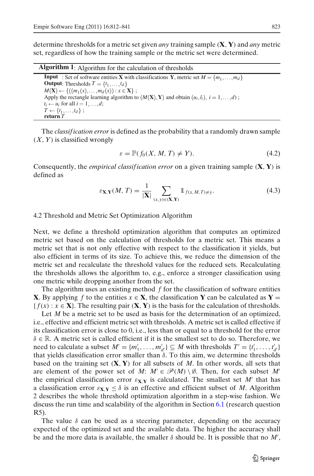<span id="page-11-0"></span>determine thresholds for a metric set given *any* training sample (**X**, **Y**) and *any* metric set, regardless of how the training sample or the metric set were determined.

| <b>Algorithm 1:</b> Algorithm for the calculation of thresholds |  |  |  |
|-----------------------------------------------------------------|--|--|--|
|-----------------------------------------------------------------|--|--|--|

**Input** : Set of software entities **X** with classifications **Y**, metric set  $M = \{m_1, \ldots, m_d\}$ **Output**: Thresholds  $T = \{t_1, \ldots, t_d\}$  $M(\mathbf{X}) \leftarrow \{ ((m_1(x), \ldots, m_d(x)) : x \in \mathbf{X} \} ;$ Apply the rectangle learning algorithm to  $(M(X), Y)$  and obtain  $(u_i, l_i), i = 1, \ldots, d)$ ;  $t_i \leftarrow u_i$  for all  $i = 1, \ldots, d;$  $T \leftarrow \{t_1, \ldots, t_d\}$ ; **return** *T*

The *classif ication error* is defined as the probability that a randomly drawn sample (*X*, *Y*) is classified wrongly

$$
\varepsilon = \mathbb{P}(f_0(X, M, T) \neq Y). \tag{4.2}
$$

Consequently, the *empirical classif ication error* on a given training sample (**X**, **Y**) is defined as

$$
\varepsilon_{\mathbf{X},\mathbf{Y}}(M,T) = \frac{1}{|\mathbf{X}|} \sum_{(x,y)\in(\mathbf{X},\mathbf{Y})} \mathbb{1}_{f(x,M,T)\neq y}.
$$
 (4.3)

## 4.2 Threshold and Metric Set Optimization Algorithm

Next, we define a threshold optimization algorithm that computes an optimized metric set based on the calculation of thresholds for a metric set. This means a metric set that is not only effective with respect to the classification it yields, but also efficient in terms of its size. To achieve this, we reduce the dimension of the metric set and recalculate the threshold values for the reduced sets. Recalculating the thresholds allows the algorithm to, e.g., enforce a stronger classification using one metric while dropping another from the set.

The algorithm uses an existing method *f* for the classification of software entities **X**. By applying *f* to the entities  $x \in \mathbf{X}$ , the classification **Y** can be calculated as **Y** =  ${f(x): x \in \mathbf{X}}$ . The resulting pair  $(\mathbf{X}, \mathbf{Y})$  is the basis for the calculation of thresholds.

Let *M* be a metric set to be used as basis for the determination of an optimized, i.e., effective and efficient metric set with thresholds. A metric set is called effective if its classification error is close to 0, i.e., less than or equal to a threshold for the error  $\delta \in \mathbb{R}$ . A metric set is called efficient if it is the smallest set to do so. Therefore, we need to calculate a subset  $M' = \{m'_1, \ldots, m'_{d'}\} \subseteq M$  with thresholds  $T' = \{t'_1, \ldots, t'_{d'}\}$ that yields classification error smaller than  $δ$ . To this aim, we determine thresholds based on the training set (**X**, **Y**) for all subsets of *M*. In other words, all sets that are element of the power set of *M*:  $M' \in \mathcal{P}(M) \setminus \emptyset$ . Then, for each subset *M'* the empirical classification error  $\varepsilon_{X,Y}$  is calculated. The smallest set *M'* that has a classification error  $\varepsilon_{X,Y} \leq \delta$  is an effective and efficient subset of *M*. Algorithm 2 describes the whole threshold optimization algorithm in a step-wise fashion. We discuss the run time and scalability of the algorithm in Section [6.1](#page-21-0) (research question R5).

The value  $\delta$  can be used as a steering parameter, depending on the accuracy expected of the optimized set and the available data. The higher the accuracy shall be and the more data is available, the smaller  $\delta$  should be. It is possible that no  $M'$ ,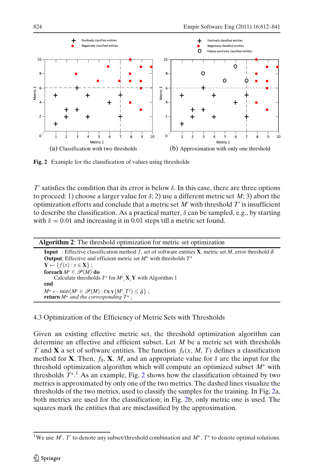<span id="page-12-0"></span>

**Fig. 2** Example for the classification of values using thresholds

 $T'$  satisfies the condition that its error is below  $\delta$ . In this case, there are three options to proceed: 1) choose a larger value for  $\delta$ ; 2) use a different metric set *M*; 3) abort the optimization efforts and conclude that a metric set *M* with threshold *T* is insufficient to describe the classification. As a practical matter,  $\delta$  can be sampled, e.g., by starting with  $\delta = 0.01$  and increasing it in 0.01 steps till a metric set found.

| <b>Algorithm 2:</b> The threshold optimization for metric set optimization                                                   |
|------------------------------------------------------------------------------------------------------------------------------|
| <b>Input</b> : Effective classification method f, set of software entities <b>X</b> , metric set M, error threshold $\delta$ |
| <b>Output:</b> Effective and efficient metric set $M^*$ with thresholds $T^*$                                                |
| $\mathbf{Y} \leftarrow \{f(x) : x \in \mathbf{X}\}\; ;$                                                                      |
| foreach $M' \in \mathscr{P}(M)$ do                                                                                           |
| Calculate thresholds $T'$ for $M'$ , $X$ , $Y$ with Algorithm 1                                                              |
| end                                                                                                                          |
| $M^* \leftarrow \min\{M' \in \mathscr{P}(M): \varepsilon_{X,Y}(M',T') \leq \delta\};$                                        |
| <b>return</b> $M^*$ and the corresponding $T^*$ :                                                                            |

4.3 Optimization of the Efficiency of Metric Sets with Thresholds

Given an existing effective metric set, the threshold optimization algorithm can determine an effective and efficient subset. Let *M* be a metric set with thresholds *T* and **X** a set of software entities. The function  $f_0(x, M, T)$  defines a classification method for **X**. Then,  $f_0$ , **X**, *M*, and an appropriate value for  $\delta$  are the input for the threshold optimization algorithm which will compute an optimized subset *M*<sup>∗</sup> with thresholds *T*<sup>∗</sup>. <sup>1</sup> As an example, Fig. 2 shows how the classification obtained by two metrics is approximated by only one of the two metrics. The dashed lines visualize the thresholds of the two metrics, used to classify the samples for the training. In Fig, 2a, both metrics are used for the classification; in Fig. 2b, only metric one is used. The squares mark the entities that are misclassified by the approximation.

<sup>&</sup>lt;sup>1</sup>We use *M'*, *T'* to denote any subset/threshold combination and *M*<sup>∗</sup>, *T*<sup>∗</sup> to denote optimal solutions.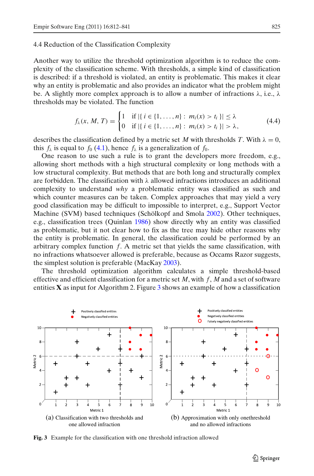#### <span id="page-13-0"></span>4.4 Reduction of the Classification Complexity

Another way to utilize the threshold optimization algorithm is to reduce the complexity of the classification scheme. With thresholds, a simple kind of classification is described: if a threshold is violated, an entity is problematic. This makes it clear why an entity is problematic and also provides an indicator what the problem might be. A slightly more complex approach is to allow a number of infractions  $\lambda$ , i.e.,  $\lambda$ thresholds may be violated. The function

$$
f_{\lambda}(x, M, T) = \begin{cases} 1 & \text{if } |\{i \in \{1, ..., n\} : m_i(x) > t_i\}| \leq \lambda \\ 0 & \text{if } |\{i \in \{1, ..., n\} : m_i(x) > t_i\}| > \lambda, \end{cases}
$$
(4.4)

describes the classification defined by a metric set *M* with thresholds *T*. With  $\lambda = 0$ , this  $f_{\lambda}$  is equal to  $f_0$  [\(4.1\)](#page-10-0), hence  $f_{\lambda}$  is a generalization of  $f_0$ .

One reason to use such a rule is to grant the developers more freedom, e.g., allowing short methods with a high structural complexity or long methods with a low structural complexity. But methods that are both long and structurally complex are forbidden. The classification with  $\lambda$  allowed infractions introduces an additional complexity to understand *why* a problematic entity was classified as such and which counter measures can be taken. Complex approaches that may yield a very good classification may be difficult to impossible to interpret, e.g., Support Vector Machine (SVM) based techniques (Schölkopf and Smol[a](#page-27-0) [2002](#page-27-0)). Other techniques, e.g., classification trees (Quinla[n](#page-27-0) [1986](#page-27-0)) show directly why an entity was classified as problematic, but it not clear how to fix as the tree may hide other reasons why the entity is problematic. In general, the classification could be performed by an arbitrary complex function *f*. A metric set that yields the same classification, with no infractions whatsoever allowed is preferable, because as Occams Razor suggests, the simplest solution is preferable (MacKa[y](#page-27-0) [2003\)](#page-27-0).

The threshold optimization algorithm calculates a simple threshold-based effective and efficient classification for a metric set *M*, with *f*, *M* and a set of software entities  $\bf{X}$  as input for Algorithm 2. Figure  $\bf{3}$  shows an example of how a classification



**Fig. 3** Example for the classification with one threshold infraction allowed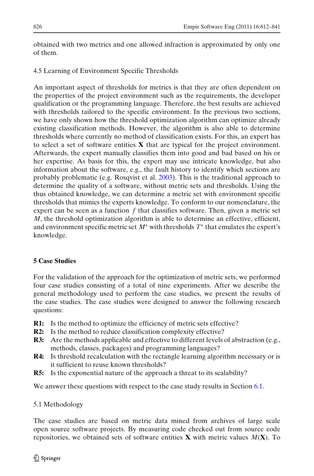<span id="page-14-0"></span>obtained with two metrics and one allowed infraction is approximated by only one of them.

# 4.5 Learning of Environment Specific Thresholds

An important aspect of thresholds for metrics is that they are often dependent on the properties of the project environment such as the requirements, the developer qualification or the programming language. Therefore, the best results are achieved with thresholds tailored to the specific environment. In the previous two sections, we have only shown how the threshold optimization algorithm can optimize already existing classification methods. However, the algorithm is also able to determine thresholds where currently no method of classification exists. For this, an expert has to select a set of software entities **X** that are typical for the project environment. Afterwards, the expert manually classifies them into good and bad based on his or her expertise. As basis for this, the expert may use intricate knowledge, but also information about the software, e.g., the fault history to identify which sections are probably problematic (e.g. Rosqvist et al[.](#page-27-0) [2003](#page-27-0)). This is the traditional approach to determine the quality of a software, without metric sets and thresholds. Using the thus obtained knowledge, we can determine a metric set with environment specific thresholds that mimics the experts knowledge. To conform to our nomenclature, the expert can be seen as a function *f* that classifies software. Then, given a metric set *M*, the threshold optimization algorithm is able to determine an effective, efficient, and environment specific metric set *M*<sup>∗</sup> with thresholds *T*<sup>∗</sup> that emulates the expert's knowledge.

## **5 Case Studies**

For the validation of the approach for the optimization of metric sets, we performed four case studies consisting of a total of nine experiments. After we describe the general methodology used to perform the case studies, we present the results of the case studies. The case studies were designed to answer the following research questions:

- **R1:** Is the method to optimize the efficiency of metric sets effective?
- **R2:** Is the method to reduce classification complexity effective?
- **R3:** Are the methods applicable and effective to different levels of abstraction (e.g., methods, classes, packages) and programming languages?
- **R4:** Is threshold recalculation with the rectangle learning algorithm necessary or is it sufficient to reuse known thresholds?
- **R5:** Is the exponential nature of the approach a threat to its scalability?

We answer these questions with respect to the case study results in Section [6.1.](#page-21-0)

## 5.1 Methodology

The case studies are based on metric data mined from archives of large scale open source software projects. By measuring code checked out from source code repositories, we obtained sets of software entities **X** with metric values *M*(**X**). To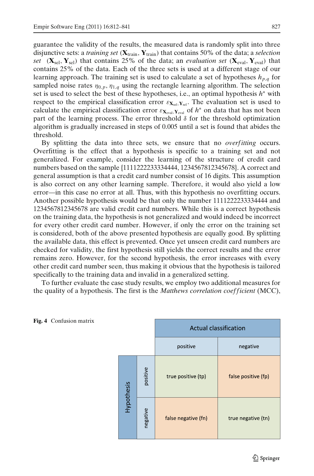<span id="page-15-0"></span>guarantee the validity of the results, the measured data is randomly split into three disjunctive sets: a *training set* (**X**train, **Y**train) that contains 50% of the data; a *selection set* ( $\mathbf{X}_{\text{sel}}, \mathbf{Y}_{\text{sel}}$ ) that contains 25% of the data; an *evaluation set* ( $\mathbf{X}_{\text{eval}}, \mathbf{Y}_{\text{eval}}$ ) that contains 25% of the data. Each of the three sets is used at a different stage of our learning approach. The training set is used to calculate a set of hypotheses  $h_{p,q}$  for sampled noise rates  $\eta_{0,p}, \eta_{1,q}$  using the rectangle learning algorithm. The selection set is used to select the best of these hypotheses, i.e., an optimal hypothesis *h*<sup>∗</sup> with respect to the empirical classification error  $\epsilon_{\mathbf{X}_{\text{col}},\mathbf{Y}_{\text{col}}}$ . The evaluation set is used to calculate the empirical classification error  $\epsilon_{\mathbf{X}_{eval},\mathbf{Y}_{eval}}$  of  $h^*$  on data that has not been part of the learning process. The error threshold  $\delta$  for the threshold optimization algorithm is gradually increased in steps of 0.005 until a set is found that abides the threshold.

By splitting the data into three sets, we ensure that no *overfitting* occurs. Overfitting is the effect that a hypothesis is specific to a training set and not generalized. For example, consider the learning of the structure of credit card numbers based on the sample {1111222233334444, 1234567812345678}. A correct and general assumption is that a credit card number consist of 16 digits. This assumption is also correct on any other learning sample. Therefore, it would also yield a low error—in this case no error at all. Thus, with this hypothesis no overfitting occurs. Another possible hypothesis would be that only the number 1111222233334444 and 1234567812345678 are valid credit card numbers. While this is a correct hypothesis on the training data, the hypothesis is not generalized and would indeed be incorrect for every other credit card number. However, if only the error on the training set is considered, both of the above presented hypothesis are equally good. By splitting the available data, this effect is prevented. Once yet unseen credit card numbers are checked for validity, the first hypothesis still yields the correct results and the error remains zero. However, for the second hypothesis, the error increases with every other credit card number seen, thus making it obvious that the hypothesis is tailored specifically to the training data and invalid in a generalized setting.

To further evaluate the case study results, we employ two additional measures for the quality of a hypothesis. The first is the *Matthews correlation coefficient* (MCC),



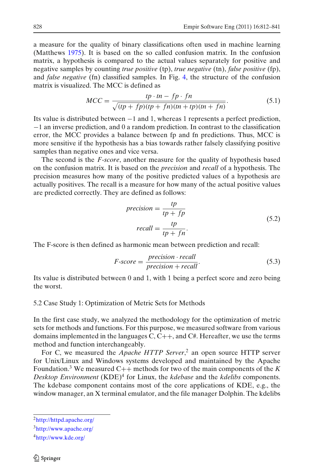<span id="page-16-0"></span>a measure for the quality of binary classifications often used in machine learning (Matthew[s](#page-27-0) [1975](#page-27-0)). It is based on the so called confusion matrix. In the confusion matrix, a hypothesis is compared to the actual values separately for positive and negative samples by counting *true positive* (tp), *true negative* (tn), *false positive* (fp), and *false negative* (fn) classified samples. In Fig. [4,](#page-15-0) the structure of the confusion matrix is visualized. The MCC is defined as

$$
MCC = \frac{tp \cdot tn - fp \cdot fn}{\sqrt{(tp + fp)(tp + fn)(tn + tp)(tn + fn)}}.
$$
\n(5.1)

Its value is distributed between −1 and 1, whereas 1 represents a perfect prediction, −1 an inverse prediction, and 0 a random prediction. In contrast to the classification error, the MCC provides a balance between fp and fn predictions. Thus, MCC is more sensitive if the hypothesis has a bias towards rather falsely classifying positive samples than negative ones and vice versa.

The second is the *F*-*score*, another measure for the quality of hypothesis based on the confusion matrix. It is based on the *precision* and *recall* of a hypothesis. The precision measures how many of the positive predicted values of a hypothesis are actually positives. The recall is a measure for how many of the actual positive values are predicted correctly. They are defined as follows:

$$
precision = \frac{tp}{tp + fp}
$$
  
\n
$$
recall = \frac{tp}{tp + fn}.
$$
\n(5.2)

The F-score is then defined as harmonic mean between prediction and recall:

$$
F-score = \frac{precision \cdot recall}{precision + recall}.
$$
\n(5.3)

Its value is distributed between 0 and 1, with 1 being a perfect score and zero being the worst.

#### 5.2 Case Study 1: Optimization of Metric Sets for Methods

In the first case study, we analyzed the methodology for the optimization of metric sets for methods and functions. For this purpose, we measured software from various domains implemented in the languages  $C, C++,$  and  $C#$ . Hereafter, we use the terms method and function interchangeably.

For C, we measured the *Apache HTTP Server*, <sup>2</sup> an open source HTTP server for Unix/Linux and Windows systems developed and maintained by the Apache Foundation.<sup>3</sup> We measured  $C_{++}$  methods for two of the main components of the K *Desktop Environment* (KDE)<sup>4</sup> for Linux, the *kdebase* and the *kdelibs* components. The kdebase component contains most of the core applications of KDE, e.g., the window manager, an X terminal emulator, and the file manager Dolphin. The kdelibs

[<sup>2</sup>http://httpd.apache.org/](http://httpd.apache.org/)

[<sup>3</sup>http://www.apache.org/](http://www.apache.org/)

[<sup>4</sup>http://www.kde.org/](http://www.kde.org/)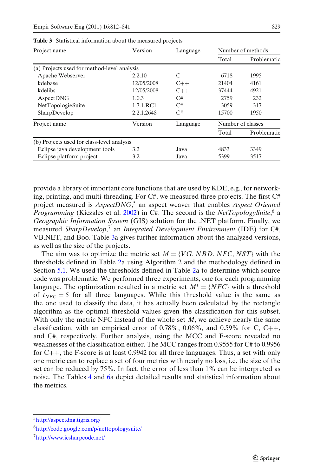| Project name                                | Version    | Language |                   | Number of methods |  |
|---------------------------------------------|------------|----------|-------------------|-------------------|--|
|                                             |            |          | Total             | Problematic       |  |
| (a) Projects used for method-level analysis |            |          |                   |                   |  |
| Apache Webserver                            | 2.2.10     | C        | 6718              | 1995              |  |
| kdebase                                     | 12/05/2008 | $C++$    | 21404             | 4161              |  |
| kdelibs                                     | 12/05/2008 | $C++$    | 37444             | 4921              |  |
| AspectDNG                                   | 1.0.3      | C#       | 2759              | 232               |  |
| NetTopologieSuite                           | 1.7.1.RC1  | C#       | 3059              | 317               |  |
| SharpDevelop                                | 2.2.1.2648 | C#       | 15700             | 1950              |  |
| Project name                                | Version    | Language | Number of classes |                   |  |
|                                             |            |          | Total             | Problematic       |  |
| (b) Projects used for class-level analysis  |            |          |                   |                   |  |
| Eclipse java development tools              | 3.2        | Java     | 4833              | 3349              |  |
| Eclipse platform project                    | 3.2        | Java     | 5399              | 3517              |  |

<span id="page-17-0"></span>**Table 3** Statistical information about the measured projects

provide a library of important core functions that are used by KDE, e.g., for networking, printing, and multi-threading. For C#, we measured three projects. The first C# project measured is *AspectDNG*, <sup>5</sup> an aspect weaver that enables *Aspect Oriented Programming* (Kiczales et al[.](#page-27-0) [2002\)](#page-27-0) in C#. The second is the *NetTopologySuite*, <sup>6</sup> a *Geographic Information System* (GIS) solution for the .NET platform. Finally, we measured *SharpDevelop*, <sup>7</sup> an *Integrated Development Environment* (IDE) for C#, VB.NET, and Boo. Table 3a gives further information about the analyzed versions, as well as the size of the projects.

The aim was to optimize the metric set  $M = \{VG, NBD, NFC, NST\}$  with the thresholds defined in Table [2a](#page-5-0) using Algorithm 2 and the methodology defined in Section [5.1.](#page-14-0) We used the thresholds defined in Table [2a](#page-5-0) to determine which source code was problematic. We performed three experiments, one for each programming language. The optimization resulted in a metric set  $M^* = \{NFC\}$  with a threshold of  $t_{NFC} = 5$  for all three languages. While this threshold value is the same as the one used to classify the data, it has actually been calculated by the rectangle algorithm as the optimal threshold values given the classification for this subset. With only the metric NFC instead of the whole set *M*, we achieve nearly the same classification, with an empirical error of 0.78%, 0.06%, and 0.59% for C, C++, and C#, respectively. Further analysis, using the MCC and F-score revealed no weaknesses of the classification either. The MCC ranges from 0.9555 for C# to 0.9956 for  $C_{++}$ , the F-score is at least 0.9942 for all three languages. Thus, a set with only one metric can to replace a set of four metrics with nearly no loss, i.e. the size of the set can be reduced by 75%. In fact, the error of less than 1% can be interpreted as noise. The Tables [4](#page-18-0) and [6a](#page-19-0) depict detailed results and statistical information about the metrics.

[<sup>5</sup>http://aspectdng.tigris.org/](http://aspectdng.tigris.org/)

[<sup>6</sup>http://code.google.com/p/nettopologysuite/](http://code.google.com/p/nettopologysuite/)

[<sup>7</sup>http://www.icsharpcode.net/](http://www.icsharpcode.net/)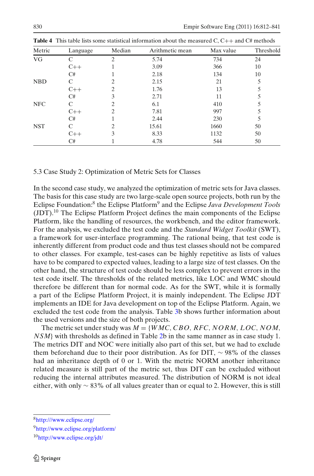| Metric     | Language | Median | Arithmetic mean | Max value | Threshold |
|------------|----------|--------|-----------------|-----------|-----------|
| <b>VG</b>  |          | 2      | 5.74            | 734       | 24        |
|            | $C++$    |        | 3.09            | 366       | 10        |
|            | C#       |        | 2.18            | 134       | 10        |
| <b>NBD</b> | C        | 2      | 2.15            | 21        | 5         |
|            | $C++$    | 2      | 1.76            | 13        |           |
|            | C#       | 3      | 2.71            | 11        |           |
| <b>NFC</b> |          | 2      | 6.1             | 410       |           |
|            | $C++$    | 2.     | 7.81            | 997       |           |
|            | C#       |        | 2.44            | 230       |           |
| <b>NST</b> |          | 2      | 15.61           | 1660      | 50        |
|            | $C++$    | 3      | 8.33            | 1132      | 50        |
|            | C#       |        | 4.78            | 544       | 50        |

<span id="page-18-0"></span>**Table 4** This table lists some statistical information about the measured C, C++ and C# methods

#### 5.3 Case Study 2: Optimization of Metric Sets for Classes

In the second case study, we analyzed the optimization of metric sets for Java classes. The basis for this case study are two large-scale open source projects, both run by the Eclipse Foundation:8 the Eclipse Platform9 and the Eclipse *Java Development Tools*  $(JDT)$ .<sup>10</sup> The Eclipse Platform Project defines the main components of the Eclipse Platform, like the handling of resources, the workbench, and the editor framework. For the analysis, we excluded the test code and the *Standard Widget Toolkit* (SWT), a framework for user-interface programming. The rational being, that test code is inherently different from product code and thus test classes should not be compared to other classes. For example, test-cases can be highly repetitive as lists of values have to be compared to expected values, leading to a large size of test classes. On the other hand, the structure of test code should be less complex to prevent errors in the test code itself. The thresholds of the related metrics, like LOC and WMC should therefore be different than for normal code. As for the SWT, while it is formally a part of the Eclipse Platform Project, it is mainly independent. The Eclipse JDT implements an IDE for Java development on top of the Eclipse Platform. Again, we excluded the test code from the analysis. Table [3b](#page-17-0) shows further information about the used versions and the size of both projects.

The metric set under study was  $M = \{WMC, CBO, RFC, NORMALOC, NOM,$ *NSM*} with thresholds as defined in Table [2b](#page-5-0) in the same manner as in case study 1. The metrics DIT and NOC were initially also part of this set, but we had to exclude them beforehand due to their poor distribution. As for DIT,  $\sim$  98% of the classes had an inheritance depth of 0 or 1. With the metric NORM another inheritance related measure is still part of the metric set, thus DIT can be excluded without reducing the internal attributes measured. The distribution of NORM is not ideal either, with only  $\sim$  83% of all values greater than or equal to 2. However, this is still

[<sup>8</sup>http:///www.eclipse.org/](http:///www.eclipse.org/)

[<sup>9</sup>http://www.eclipse.org/platform/](http://www.eclipse.org/platform/)

<sup>1</sup>[0http://www.eclipse.org/jdt/](http://www.eclipse.org/jdt/)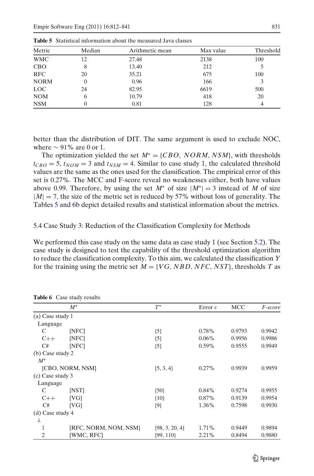| Metric      | Median | Arithmetic mean | Max value | Threshold |
|-------------|--------|-----------------|-----------|-----------|
| <b>WMC</b>  | 12     | 27.48           | 2138      | 100       |
| <b>CBO</b>  |        | 13.40           | 212       |           |
| <b>RFC</b>  | 20     | 35.21           | 675       | 100       |
| <b>NORM</b> |        | 0.96            | 166       |           |
| <b>LOC</b>  | 24     | 82.95           | 6619      | 500       |
| <b>NOM</b>  |        | 10.79           | 418       | 20        |
| <b>NSM</b>  |        | 0.81            | 128       |           |

<span id="page-19-0"></span>**Table 5** Statistical information about the measured Java classes

better than the distribution of DIT. The same argument is used to exclude NOC, where  $\sim$  91% are 0 or 1.

The optimization yielded the set *M*<sup>∗</sup> = {*CBO*, *NORM*, *NSM*}, with thresholds  $t_{CBO} = 5$ ,  $t_{NOM} = 3$  and  $t_{NSM} = 4$ . Similar to case study 1, the calculated threshold values are the same as the ones used for the classification. The empirical error of this set is 0.27%. The MCC and F-score reveal no weaknesses either, both have values above 0.99. Therefore, by using the set  $M^*$  of size  $|M^*| = 3$  instead of M of size  $|M| = 7$ , the size of the metric set is reduced by 57% without loss of generality. The Tables 5 and 6b depict detailed results and statistical information about the metrics.

5.4 Case Study 3: Reduction of the Classification Complexity for Methods

We performed this case study on the same data as case study 1 (see Section [5.2\)](#page-16-0). The case study is designed to test the capability of the threshold optimization algorithm to reduce the classification complexity. To this aim, we calculated the classification *Y* for the training using the metric set  $M = \{VG, NBD, NFC, NST\}$ , thresholds *T* as

|                  | $M^*$                 | $T^*$              | Error $\varepsilon$ | <b>MCC</b> | <i>F-score</i> |
|------------------|-----------------------|--------------------|---------------------|------------|----------------|
| (a) Case study 1 |                       |                    |                     |            |                |
| Language         |                       |                    |                     |            |                |
| C                | $\{NFC\}$             | ${5}$              | 0.78%               | 0.9793     | 0.9942         |
| $C++$            | $\{NFC\}$             | ${5}$              | $0.06\%$            | 0.9956     | 0.9986         |
| C#               | $\{NFC\}$             | ${5}$              | $0.59\%$            | 0.9555     | 0.9949         |
| (b) Case study 2 |                       |                    |                     |            |                |
| $M^*$            |                       |                    |                     |            |                |
|                  | {CBO, NORM, NSM}      | $\{5, 3, 4\}$      | 0.27%               | 0.9939     | 0.9959         |
| (c) Case study 3 |                       |                    |                     |            |                |
| Language         |                       |                    |                     |            |                |
| C                | [NST]                 | ${50}$             | $0.84\%$            | 0.9274     | 0.9955         |
| $C++$            | ${V}G$                | ${10}$             | 0.87%               | 0.9139     | 0.9954         |
| C#               | ${V}G$                | ${9}$              | 1.36%               | 0.7598     | 0.9930         |
| (d) Case study 4 |                       |                    |                     |            |                |
| λ                |                       |                    |                     |            |                |
| 1                | {RFC, NORM, NOM, NSM} | $\{98, 3, 20, 4\}$ | 1.71%               | 0.9449     | 0.9894         |
| 2                | {WMC, RFC}            | $\{99, 110\}$      | 2.21%               | 0.8494     | 0.9880         |

**Table 6** Case study results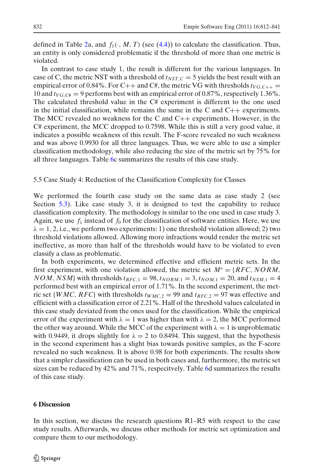<span id="page-20-0"></span>defined in Table [2a](#page-5-0), and  $f_1(\cdot, M, T)$  (see [\(4.4\)](#page-13-0)) to calculate the classification. Thus, an entity is only considered problematic if the threshold of more than one metric is violated.

In contrast to case study 1, the result is different for the various languages. In case of C, the metric NST with a threshold of  $t_{NST,C} = 5$  yields the best result with an empirical error of 0.84%. For C++ and C#, the metric VG with thresholds  $t_{VG, C++}$ 10 and  $t_{VG,C\#}$  = 9 performs best with an empirical error of 0.87%, respectively 1.36%. The calculated threshold value in the C# experiment is different to the one used in the initial classification, while remains the same in the C and  $C_{++}$  experiments. The MCC revealed no weakness for the C and  $C_{++}$  experiments. However, in the C# experiment, the MCC dropped to 0.7598. While this is still a very good value, it indicates a possible weakness of this result. The F-score revealed no such weakness and was above 0.9930 for all three languages. Thus, we were able to use a simpler classification methodology, while also reducing the size of the metric set by 75% for all three languages. Table [6c](#page-19-0) summarizes the results of this case study.

5.5 Case Study 4: Reduction of the Classification Complexity for Classes

We performed the fourth case study on the same data as case study 2 (see Section [5.3\)](#page-18-0). Like case study 3, it is designed to test the capability to reduce classification complexity. The methodology is similar to the one used in case study 3. Again, we use  $f_{\lambda}$  instead of  $f_0$  for the classification of software entities. Here, we use  $\lambda = 1, 2$ , i.e., we perform two experiments: 1) one threshold violation allowed; 2) two threshold violations allowed. Allowing more infractions would render the metric set ineffective, as more than half of the thresholds would have to be violated to even classify a class as problematic.

In both experiments, we determined effective and efficient metric sets. In the first experiment, with one violation allowed, the metric set  $M^* = \{RFC, NORM,$ *NOM*, *NSM*} with thresholds  $t_{RFC,1} = 98$ ,  $t_{NORM,1} = 3$ ,  $t_{NOM,1} = 20$ , and  $t_{NSM,1} = 4$ performed best with an empirical error of 1.71%. In the second experiment, the metric set {*WMC*, *RFC*} with thresholds  $t_{WMC,2} = 99$  and  $t_{RFC,2} = 97$  was effective and efficient with a classification error of 2.21%. Half of the threshold values calculated in this case study deviated from the ones used for the classification. While the empirical error of the experiment with  $\lambda = 1$  was higher than with  $\lambda = 2$ , the MCC performed the other way around. While the MCC of the experiment with  $\lambda = 1$  is unproblematic with 0.9449, it drops slightly for  $\lambda = 2$  to 0.8494. This suggest, that the hypothesis in the second experiment has a slight bias towards positive samples, as the F-score revealed no such weakness. It is above 0.98 for both experiments. The results show that a simpler classification can be used in both cases and, furthermore, the metric set sizes can be reduced by 42% and 71%, respecitvely. Table [6d](#page-19-0) summarizes the results of this case study.

## **6 Discussion**

In this section, we discuss the research questions R1–R5 with respect to the case study results. Afterwards, we discuss other methods for metric set optimization and compare them to our methodology.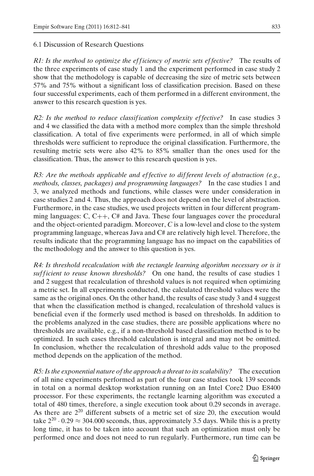## <span id="page-21-0"></span>6.1 Discussion of Research Questions

*R1: Is the method to optimize the efficiency of metric sets effective?* The results of the three experiments of case study 1 and the experiment performed in case study 2 show that the methodology is capable of decreasing the size of metric sets between 57% and 75% without a significant loss of classification precision. Based on these four successful experiments, each of them performed in a different environment, the answer to this research question is yes.

*R2: Is the method to reduce classif ication complexity ef fective?* In case studies 3 and 4 we classified the data with a method more complex than the simple threshold classification. A total of five experiments were performed, in all of which simple thresholds were sufficient to reproduce the original classification. Furthermore, the resulting metric sets were also 42% to 85% smaller than the ones used for the classification. Thus, the answer to this research question is yes.

*R3: Are the methods applicable and ef fective to dif ferent levels of abstraction (e.g., methods, classes, packages) and programming languages?* In the case studies 1 and 3, we analyzed methods and functions, while classes were under consideration in case studies 2 and 4. Thus, the approach does not depend on the level of abstraction. Furthermore, in the case studies, we used projects written in four different programming languages: C, C++, C# and Java. These four languages cover the procedural and the object-oriented paradigm. Moreover, *C* is a low-level and close to the system programming language, whereas Java and C# are relatively high level. Therefore, the results indicate that the programming language has no impact on the capabilities of the methodology and the answer to this question is yes.

*R4: Is threshold recalculation with the rectangle learning algorithm necessary or is it suf f icient to reuse known thresholds?* On one hand, the results of case studies 1 and 2 suggest that recalculation of threshold values is not required when optimizing a metric set. In all experiments conducted, the calculated threshold values were the same as the original ones. On the other hand, the results of case study 3 and 4 suggest that when the classification method is changed, recalculation of threshold values is beneficial even if the formerly used method is based on thresholds. In addition to the problems analyzed in the case studies, there are possible applications where no thresholds are available, e.g., if a non-threshold based classification method is to be optimized. In such cases threshold calculation is integral and may not be omitted. In conclusion, whether the recalculation of threshold adds value to the proposed method depends on the application of the method.

*R5: Is the exponential nature of the approach a threat to its scalability?* The execution of all nine experiments performed as part of the four case studies took 139 seconds in total on a normal desktop workstation running on an Intel Core2 Duo E8400 processor. For these experiments, the rectangle learning algorithm was executed a total of 480 times, therefore, a single execution took about 0.29 seconds in average. As there are  $2^{20}$  different subsets of a metric set of size 20, the execution would take  $2^{20} \cdot 0.29 \approx 304.000$  seconds, thus, approximately 3.5 days. While this is a pretty long time, it has to be taken into account that such an optimization must only be performed once and does not need to run regularly. Furthermore, run time can be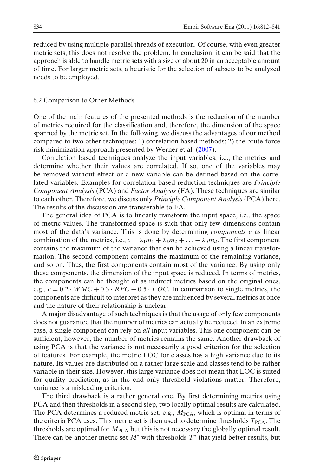<span id="page-22-0"></span>reduced by using multiple parallel threads of execution. Of course, with even greater metric sets, this does not resolve the problem. In conclusion, it can be said that the approach is able to handle metric sets with a size of about 20 in an acceptable amount of time. For larger metric sets, a heuristic for the selection of subsets to be analyzed needs to be employed.

## 6.2 Comparison to Other Methods

One of the main features of the presented methods is the reduction of the number of metrics required for the classification and, therefore, the dimension of the space spanned by the metric set. In the following, we discuss the advantages of our method compared to two other techniques: 1) correlation based methods; 2) the brute-force risk minimization approach presented by Werner et al[.](#page-27-0) [\(2007\)](#page-27-0).

Correlation based techniques analyze the input variables, i.e., the metrics and determine whether their values are correlated. If so, one of the variables may be removed without effect or a new variable can be defined based on the correlated variables. Examples for correlation based reduction techniques are *Principle Component Analysis* (PCA) and *Factor Analysis* (FA). These techniques are similar to each other. Therefore, we discuss only *Principle Component Analysis* (PCA) here. The results of the discussion are transferable to FA.

The general idea of PCA is to linearly transform the input space, i.e., the space of metric values. The transformed space is such that only few dimensions contain most of the data's variance. This is done by determining *components c* as linear combination of the metrics, i.e.,  $c = \lambda_1 m_1 + \lambda_2 m_2 + \ldots + \lambda_d m_d$ . The first component contains the maximum of the variance that can be achieved using a linear transformation. The second component contains the maximum of the remaining variance, and so on. Thus, the first components contain most of the variance. By using only these components, the dimension of the input space is reduced. In terms of metrics, the components can be thought of as indirect metrics based on the original ones, e.g.,  $c = 0.2 \cdot WMC + 0.3 \cdot RFC + 0.5 \cdot LOC$ . In comparison to single metrics, the components are difficult to interpret as they are influenced by several metrics at once and the nature of their relationship is unclear.

A major disadvantage of such techniques is that the usage of only few components does not guarantee that the number of metrics can actually be reduced. In an extreme case, a single component can rely on *all* input variables. This one component can be sufficient, however, the number of metrics remains the same. Another drawback of using PCA is that the variance is not necessarily a good criterion for the selection of features. For example, the metric LOC for classes has a high variance due to its nature. Its values are distributed on a rather large scale and classes tend to be rather variable in their size. However, this large variance does not mean that LOC is suited for quality prediction, as in the end only threshold violations matter. Therefore, variance is a misleading criterion.

The third drawback is a rather general one. By first determining metrics using PCA and then thresholds in a second step, two locally optimal results are calculated. The PCA determines a reduced metric set, e.g.,  $M_{\text{PCA}}$ , which is optimal in terms of the criteria PCA uses. This metric set is then used to determine thresholds  $T_{PCA}$ . The thresholds are optimal for  $M_{\text{PCA}}$  but this is not necessary the globally optimal result. There can be another metric set *M*<sup>∗</sup> with thresholds *T*<sup>∗</sup> that yield better results, but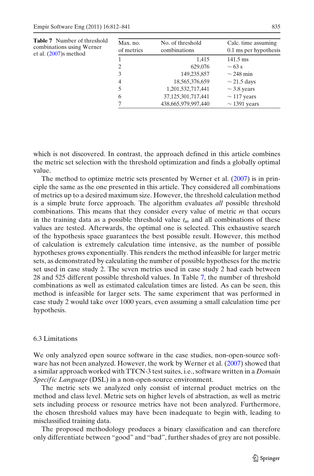| Max. no.<br>of metrics | No. of threshold<br>combinations | Calc. time assuming<br>0.1 ms per hypothesis |
|------------------------|----------------------------------|----------------------------------------------|
|                        | 1,415                            | $141.5 \text{ ms}$                           |
| 2                      | 629,076                          | $\sim$ 63 s                                  |
| 3                      | 149,235,857                      | $\sim$ 248 min                               |
| $\overline{4}$         | 18, 565, 376, 659                | $\sim$ 21.5 days                             |
|                        | 1,201,532,717,441                | $\sim$ 3.8 years                             |
| 6                      | 37,125,301,717,441               | $\sim$ 117 years                             |
|                        | 438,665,979,997,440              | $\sim$ 1391 years                            |
|                        |                                  |                                              |

which is not discovered. In contrast, the approach defined in this article combines the metric set selection with the threshold optimization and finds a globally optimal value.

The method to optimize metric sets presented by Werner et al[.](#page-27-0) [\(2007](#page-27-0)) is in principle the same as the one presented in this article. They considered all combinations of metrics up to a desired maximum size. However, the threshold calculation method is a simple brute force approach. The algorithm evaluates *all* possible threshold combinations. This means that they consider every value of metric *m* that occurs in the training data as a possible threshold value  $t_m$  and all combinations of these values are tested. Afterwards, the optimal one is selected. This exhaustive search of the hypothesis space guarantees the best possible result. However, this method of calculation is extremely calculation time intensive, as the number of possible hypotheses grows exponentially. This renders the method infeasible for larger metric sets, as demonstrated by calculating the number of possible hypotheses for the metric set used in case study 2. The seven metrics used in case study 2 had each between 28 and 525 different possible threshold values. In Table 7, the number of threshold combinations as well as estimated calculation times are listed. As can be seen, this method is infeasible for larger sets. The same experiment that was performed in case study 2 would take over 1000 years, even assuming a small calculation time per hypothesis.

## 6.3 Limitations

We only analyzed open source software in the case studies, non-open-source software has not been analyzed. However, the work by Werner et al[.](#page-27-0) [\(2007\)](#page-27-0) showed that a similar approach worked with TTCN-3 test suites, i.e., software written in a *Domain Specif ic Language* (DSL) in a non-open-source environment.

The metric sets we analyzed only consist of internal product metrics on the method and class level. Metric sets on higher levels of abstraction, as well as metric sets including process or resource metrics have not been analyzed. Furthermore, the chosen threshold values may have been inadequate to begin with, leading to misclassified training data.

The proposed methodology produces a binary classification and can therefore only differentiate between "good" and "bad", further shades of grey are not possible.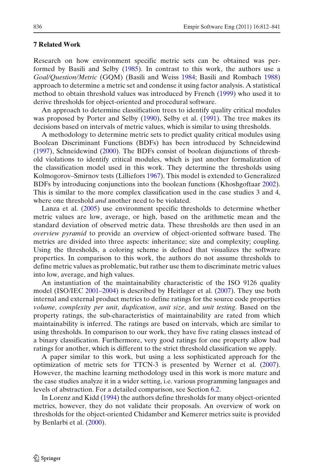### <span id="page-24-0"></span>**7 Related Work**

Research on how environment specific metric sets can be obtained was performed by Basili and Selb[y](#page-26-0) [\(1985\)](#page-26-0). In contrast to this work, the authors use a *Goal/Question/Metric* (GQM) (Basili and Weis[s](#page-26-0) [1984](#page-26-0); Basili and Rombac[h](#page-26-0) [1988\)](#page-26-0) approach to determine a metric set and condense it using factor analysis. A statistical method to obtain threshold values was introduced by Frenc[h](#page-27-0) [\(1999\)](#page-27-0) who used it to derive thresholds for object-oriented and procedural software.

An approach to determine classification trees to identify quality critical modules was proposed by Porter and Selb[y](#page-27-0) [\(1990\)](#page-27-0), Selby et al[.](#page-27-0) [\(1991](#page-27-0)). The tree makes its decisions based on intervals of metric values, which is similar to using thresholds.

A methodology to determine metric sets to predict quality critical modules using Boolean Discriminant Functions (BDFs) has been introduced by Schneidewin[d](#page-27-0) [\(1997](#page-27-0)), Schneidewin[d](#page-27-0) [\(2000\)](#page-27-0). The BDFs consist of boolean disjunctions of threshold violations to identify critical modules, which is just another formalization of the classification model used in this work. They determine the thresholds using Kolmogorov–Smirnov tests (Lilliefor[s](#page-27-0) [1967\)](#page-27-0). This model is extended to Generalized BDFs by introducing conjunctions into the boolean functions (Khoshgoftaa[r](#page-27-0) [2002\)](#page-27-0). This is similar to the more complex classification used in the case studies 3 and 4, where one threshold *and* another need to be violated.

Lanza et al[.](#page-27-0) [\(2005](#page-27-0)) use environment specific thresholds to determine whether metric values are low, average, or high, based on the arithmetic mean and the standard deviation of observed metric data. These thresholds are then used in an *overview pyramid* to provide an overview of object-oriented software based. The metrics are divided into three aspects: inheritance; size and complexity; coupling. Using the thresholds, a coloring scheme is defined that visualizes the software properties. In comparison to this work, the authors do not assume thresholds to define metric values as problematic, but rather use them to discriminate metric values into low, average, and high values.

An instantiation of the maintainability characteristic of the ISO 9126 quality model (ISO/IE[C](#page-27-0) [2001–2004](#page-27-0)) is described by Heitlager et al[.](#page-27-0) [\(2007](#page-27-0)). They use both internal and external product metrics to define ratings for the source code properties *volume*, *complexity per unit*, *duplication*, *unit size*, and *unit testing*. Based on the property ratings, the sub-characteristics of maintainability are rated from which maintainability is inferred. The ratings are based on intervals, which are similar to using thresholds. In comparison to our work, they have five rating classes instead of a binary classification. Furthermore, very good ratings for one property allow bad ratings for another, which is different to the strict threshold classification we apply.

A paper similar to this work, but using a less sophisticated approach for the optimization of metric sets for TTCN-3 is presented by Werner et al[.](#page-27-0) [\(2007\)](#page-27-0). However, the machine learning methodology used in this work is more mature and the case studies analyze it in a wider setting, i.e. various programming languages and levels of abstraction. For a detailed comparison, see Section [6.2.](#page-22-0)

In Lorenz and Kid[d](#page-27-0) [\(1994](#page-27-0)) the authors define thresholds for many object-oriented metrics, however, they do not validate their proposals. An overview of work on thresholds for the object-oriented Chidamber and Kemerer metrics suite is provided by Benlarbi et al[.](#page-26-0) [\(2000\)](#page-26-0).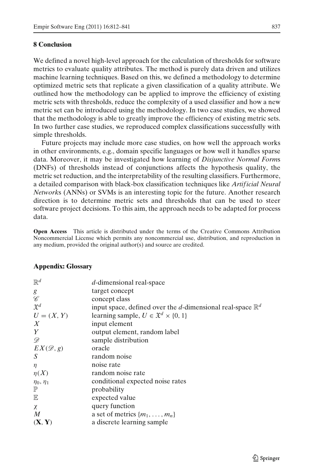## <span id="page-25-0"></span>**8 Conclusion**

We defined a novel high-level approach for the calculation of thresholds for software metrics to evaluate quality attributes. The method is purely data driven and utilizes machine learning techniques. Based on this, we defined a methodology to determine optimized metric sets that replicate a given classification of a quality attribute. We outlined how the methodology can be applied to improve the efficiency of existing metric sets with thresholds, reduce the complexity of a used classifier and how a new metric set can be introduced using the methodology. In two case studies, we showed that the methodology is able to greatly improve the efficiency of existing metric sets. In two further case studies, we reproduced complex classifications successfully with simple thresholds.

Future projects may include more case studies, on how well the approach works in other environments, e.g., domain specific languages or how well it handles sparse data. Moreover, it may be investigated how learning of *Disjunctive Normal Form*s (DNFs) of thresholds instead of conjunctions affects the hypothesis quality, the metric set reduction, and the interpretability of the resulting classifiers. Furthermore, a detailed comparison with black-box classification techniques like *Artif icial Neural Network*s (ANNs) or SVMs is an interesting topic for the future. Another research direction is to determine metric sets and thresholds that can be used to steer software project decisions. To this aim, the approach needs to be adapted for process data.

**Open Access** This article is distributed under the terms of the Creative Commons Attribution Noncommercial License which permits any noncommercial use, distribution, and reproduction in any medium, provided the original author(s) and source are credited.

| $\mathbb{R}^d$               | $d$ -dimensional real-space                                           |
|------------------------------|-----------------------------------------------------------------------|
| g                            | target concept                                                        |
| $\operatorname{\mathscr{C}}$ | concept class                                                         |
| $\mathfrak{X}^d$             | input space, defined over the d-dimensional real-space $\mathbb{R}^d$ |
| $U = (X, Y)$                 | learning sample, $U \in \mathfrak{X}^d \times \{0, 1\}$               |
| $\boldsymbol{X}$             | input element                                                         |
| Y                            | output element, random label                                          |
| D                            | sample distribution                                                   |
| $EX(\mathscr{D},g)$          | oracle                                                                |
| S                            | random noise                                                          |
| η                            | noise rate                                                            |
| $\eta(X)$                    | random noise rate                                                     |
| $\eta_0, \eta_1$             | conditional expected noise rates                                      |
| $\mathbb P$                  | probability                                                           |
| $\mathbb E$                  | expected value                                                        |
| $\chi$                       | query function                                                        |
| $\boldsymbol{M}$             | a set of metrics $\{m_1, \ldots, m_n\}$                               |
| (X, Y)                       | a discrete learning sample                                            |
|                              |                                                                       |

#### **Appendix: Glossary**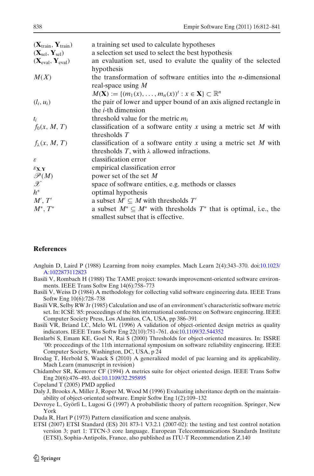<span id="page-26-0"></span>

| $(X_{train}, Y_{train})$              | a training set used to calculate hypotheses                                                     |
|---------------------------------------|-------------------------------------------------------------------------------------------------|
| $(X_{\text{sel}}, Y_{\text{sel}})$    | a selection set used to select the best hypothesis                                              |
| $(X_{eval}, Y_{eval})$                | an evaluation set, used to evalute the quality of the selected<br>hypothesis                    |
| M(X)                                  | the transformation of software entities into the $n$ -dimensional<br>real-space using $M$       |
|                                       | $M(\mathbf{X}) := \{ (m_1(x), \ldots, m_n(x))^{t} : x \in \mathbf{X} \} \subset \mathbb{R}^n$   |
| $(l_i, u_i)$                          | the pair of lower and upper bound of an axis aligned rectangle in<br>the <i>i</i> -th dimension |
| $t_i$                                 | threshold value for the metric $m_i$                                                            |
| $f_0(x, M, T)$                        | classification of a software entity $x$ using a metric set $M$ with                             |
|                                       | thresholds $T$                                                                                  |
| $f_{\lambda}(x, M, T)$                | classification of a software entity x using a metric set $M$ with                               |
|                                       | thresholds T, with $\lambda$ allowed infractions.                                               |
| $\boldsymbol{\varepsilon}$            | classification error                                                                            |
| $\mathcal{E}_{\mathbf{X},\mathbf{Y}}$ | empirical classification error                                                                  |
| $\mathscr{P}(M)$                      | power set of the set $M$                                                                        |
| $\mathscr X$                          | space of software entities, e.g. methods or classes                                             |
| $h^*$                                 | optimal hypothesis                                                                              |
| M', T'                                | a subset $M' \subseteq M$ with thresholds $T'$                                                  |
| $M^*, T^*$                            | a subset $M^* \subseteq M^*$ with thresholds $T^*$ that is optimal, i.e., the                   |
|                                       | smallest subset that is effective.                                                              |

## **References**

- Angluin D, Laird P (1988) Learning from noisy examples. Mach Learn 2(4):343–370. doi[:10.1023/](http://dx.doi.org/http://dx.doi.org/10.1023/A:1022873112823) [A:1022873112823](http://dx.doi.org/http://dx.doi.org/10.1023/A:1022873112823)
- Basili V, Rombach H (1988) The TAME project: towards improvement-oriented software environments. IEEE Trans Softw Eng 14(6):758–773
- Basili V, Weiss D (1984) A methodology for collecting valid software engineering data. IEEE Trans Softw Eng 10(6):728–738

Basili VR, Selby RW Jr (1985) Calculation and use of an environment's characteristic software metric set. In: ICSE '85: proceedings of the 8th international conference on Software engineering. IEEE Computer Society Press, Los Alamitos, CA, USA, pp 386–391

- Basili VR, Briand LC, Melo WL (1996) A validation of object-oriented design metrics as quality indicators. IEEE Trans Softw Eng 22(10):751–761. doi[:10.1109/32.544352](http://dx.doi.org/http://dx.doi.org/10.1109/32.544352)
- Benlarbi S, Emam KE, Goel N, Rai S (2000) Thresholds for object-oriented measures. In: ISSRE '00: proceedings of the 11th international symposium on software reliability engineering. IEEE Computer Society, Washington, DC, USA, p 24

Brodag T, Herbold S, Waack S (2010) A generalized model of pac learning and its applicability. Mach Learn (manuscript in revision)

Chidamber SR, Kemerer CF (1994) A metrics suite for object oriented design. IEEE Trans Softw Eng 20(6):476–493. doi[:10.1109/32.295895](http://dx.doi.org/http://dx.doi.org/10.1109/32.295895)

Copeland T (2005) PMD applied

Daly J, Brooks A, Miller J, Roper M, Wood M (1996) Evaluating inheritance depth on the maintainability of object-oriented software. Empir Softw Eng 1(2):109–132

Duda R, Hart P (1973) Pattern classification and scene analysis.

ETSI (2007) ETSI Standard (ES) 201 873-1 V3.2.1 (2007-02): the testing and test control notation version 3; part 1: TTCN-3 core language. European Telecommunications Standards Institute (ETSI), Sophia-Antipolis, France, also published as ITU-T Recommendation Z.140

Devroye L, Györfi L, Lugosi G (1997) A probabilistic theory of pattern recognition. Springer, New York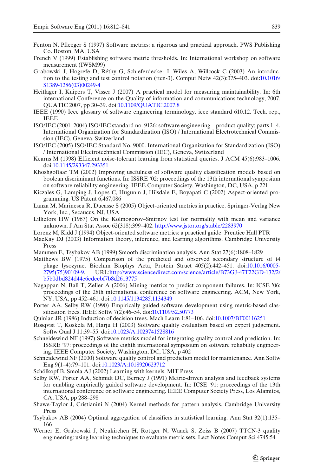- <span id="page-27-0"></span>Fenton N, Pfleeger S (1997) Software metrics: a rigorous and practical approach. PWS Publishing Co. Boston, MA, USA
- French V (1999) Establishing software metric thresholds. In: International workshop on software measurement (IWSM99)
- Grabowski J, Hogrefe D, Réthy G, Schieferdecker I, Wiles A, Willcock C (2003) An introduction to the testing and test control notation (ttcn-3). Comput Netw 42(3):375–403. doi[:10.1016/](http://dx.doi.org/http://dx.doi.org/10.1016/S1389-1286(03)00249-4) [S1389-1286\(03\)00249-4](http://dx.doi.org/http://dx.doi.org/10.1016/S1389-1286(03)00249-4)
- Heitlager I, Kuipers T, Visser J (2007) A practical model for measuring maintainability. In: 6th international Conference on the Quality of information and communications technology, 2007. QUATIC 2007, pp 30–39. doi[:10.1109/QUATIC.2007.8](http://dx.doi.org/10.1109/QUATIC.2007.8)
- IEEE (1990) Ieee glossary of software engineering terminology. ieee standard 610.12. Tech. rep., IEEE
- ISO/IEC (2001–2004) ISO/IEC standard no. 9126: software engineering—product quality; parts 1–4. International Organization for Standardization (ISO) / International Electrotechnical Commission (IEC), Geneva, Switzerland
- ISO/IEC (2005) ISO/IEC Standard No. 9000. International Organization for Standardization (ISO) / International Electrotechnical Commission (IEC), Geneva, Switzerland
- Kearns M (1998) Efficient noise-tolerant learning from statistical queries. J ACM 45(6):983–1006. doi[:10.1145/293347.293351](http://dx.doi.org/http://doi.acm.org/10.1145/293347.293351)
- Khoshgoftaar TM (2002) Improving usefulness of software quality classification models based on boolean discriminant functions. In: ISSRE '02: proceedings of the 13th international symposium on software reliability engineering. IEEE Computer Society, Washington, DC, USA, p 221
- Kiczales G, Lamping J, Lopes C, Hugunin J, Hilsdale E, Boyapati C (2002) Aspect-oriented programming. US Patent 6,467,086
- Lanza M, Marinescu R, Ducasse S (2005) Object-oriented metrics in practice. Springer-Verlag New York, Inc., Secaucus, NJ, USA
- Lilliefors HW (1967) On the Kolmogorov–Smirnov test for normality with mean and variance unknown. J Am Stat Assoc 62(318):399–402. <http://www.jstor.org/stable/2283970>
- Lorenz M, Kidd J (1994) Object-oriented software metrics: a practical guide. Prentice Hall PTR
- MacKay DJ (2003) Information theory, inference, and learning algorithms. Cambridge University Press
- Mammen E, Tsybakov AB (1999) Smooth discrimination analysis. Ann Stat 27(6):1808–1829
- Matthews BW (1975) Comparison of the predicted and observed secondary structure of t4 phage lysozyme. Biochim Biophys Acta, Protein Struct 405(2):442–451. doi[:10.1016/0005-](http://dx.doi.org/10.1016/0005-2795(75)90109-9) [2795\(75\)90109-9.](http://dx.doi.org/10.1016/0005-2795(75)90109-9) URL[:http://www.sciencedirect.com/science/article/B73GJ-47T22GD-132/2/](http://www.sciencedirect.com/science/article/B73GJ-47T22GD-13 2/2/b5b0dbd824d44e6edeebf7b8d2613775) [b5b0dbd824d44e6edeebf7b8d2613775](http://www.sciencedirect.com/science/article/B73GJ-47T22GD-13 2/2/b5b0dbd824d44e6edeebf7b8d2613775)
- Nagappan N, Ball T, Zeller A (2006) Mining metrics to predict component failures. In: ICSE '06: proceedings of the 28th international conference on software engineering. ACM, New York, NY, USA, pp 452–461. doi[:10.1145/1134285.1134349](http://dx.doi.org/http://doi.acm.org/10.1145/1134285.1134349)
- Porter AA, Selby RW (1990) Empirically guided software development using metric-based classification trees. IEEE Softw 7(2):46–54. doi[:10.1109/52.50773](http://dx.doi.org/http://dx.doi.org/10.1109/52.50773)
- Quinlan JR (1986) Induction of decision trees. Mach Learn 1:81–106. doi[:10.1007/BF00116251](http://dx.doi.org/10.1007/BF00116251)
- Rosqvist T, Koskela M, Harju H (2003) Software quality evaluation based on expert judgement. Softw Qual J 11:39–55. doi[:10.1023/A:1023741528816](http://dx.doi.org/10.1023/A:1023741528816)
- Schneidewind NF (1997) Software metrics model for integrating quality control and prediction. In: ISSRE '97: proceedings of the eighth international symposium on software reliability engineering. IEEE Computer Society, Washington, DC, USA, p 402
- Schneidewind NF (2000) Software quality control and prediction model for maintenance. Ann Softw Eng 9(1–4):79–101. doi[:10.1023/A:1018920623712](http://dx.doi.org/http://dx.doi.org/10.1023/A:1018920623712)
- Schölkopf B, Smola AJ (2002) Learning with kernels. MIT Press
- Selby RW, Porter AA, Schmidt DC, Berney J (1991) Metric-driven analysis and feedback systems for enabling empirically guided software development. In: ICSE '91: proceedings of the 13th international conference on software engineering. IEEE Computer Society Press, Los Alamitos, CA, USA, pp 288–298
- Shawe-Taylor J, Cristianini N (2004) Kernel methods for pattern analysis. Cambridge University Press
- Tsybakov AB (2004) Optimal aggregation of classifiers in statistical learning. Ann Stat 32(1):135– 166
- Werner E, Grabowski J, Neukirchen H, Rottger N, Waack S, Zeiss B (2007) TTCN-3 quality engineering: using learning techniques to evaluate metric sets. Lect Notes Comput Sci 4745:54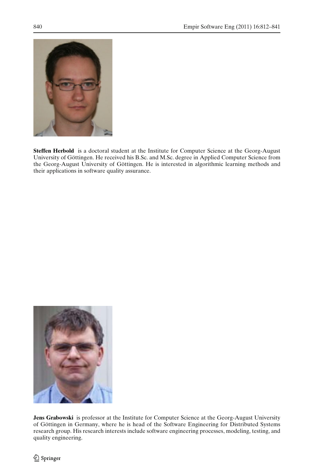

**Steffen Herbold** is a doctoral student at the Institute for Computer Science at the Georg-August University of Göttingen. He received his B.Sc. and M.Sc. degree in Applied Computer Science from the Georg-August University of Göttingen. He is interested in algorithmic learning methods and their applications in software quality assurance.



**Jens Grabowski** is professor at the Institute for Computer Science at the Georg-August University of Göttingen in Germany, where he is head of the Software Engineering for Distributed Systems research group. His research interests include software engineering processes, modeling, testing, and quality engineering.